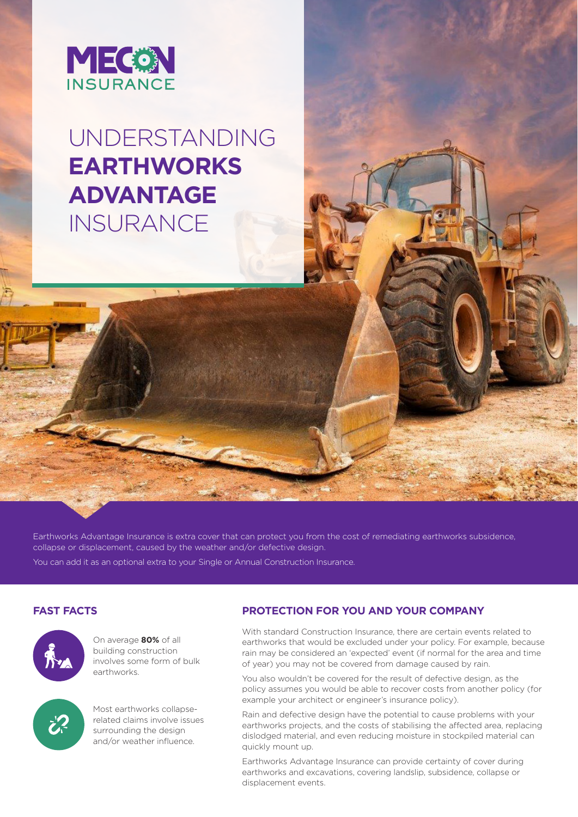

# UNDERSTANDING **EARTHWORKS ADVANTAGE INSURANCE**

Earthworks Advantage Insurance is extra cover that can protect you from the cost of remediating earthworks subsidence, collapse or displacement, caused by the weather and/or defective design.

You can add it as an optional extra to your Single or Annual Construction Insurance.



On average **80%** of all building construction involves some form of bulk earthworks.



Most earthworks collapserelated claims involve issues surrounding the design and/or weather influence.

# **FAST FACTS PROTECTION FOR YOU AND YOUR COMPANY**

With standard Construction Insurance, there are certain events related to earthworks that would be excluded under your policy. For example, because rain may be considered an 'expected' event (if normal for the area and time of year) you may not be covered from damage caused by rain.

You also wouldn't be covered for the result of defective design, as the policy assumes you would be able to recover costs from another policy (for example your architect or engineer's insurance policy).

Rain and defective design have the potential to cause problems with your earthworks projects, and the costs of stabilising the affected area, replacing dislodged material, and even reducing moisture in stockpiled material can quickly mount up.

Earthworks Advantage Insurance can provide certainty of cover during earthworks and excavations, covering landslip, subsidence, collapse or displacement events.